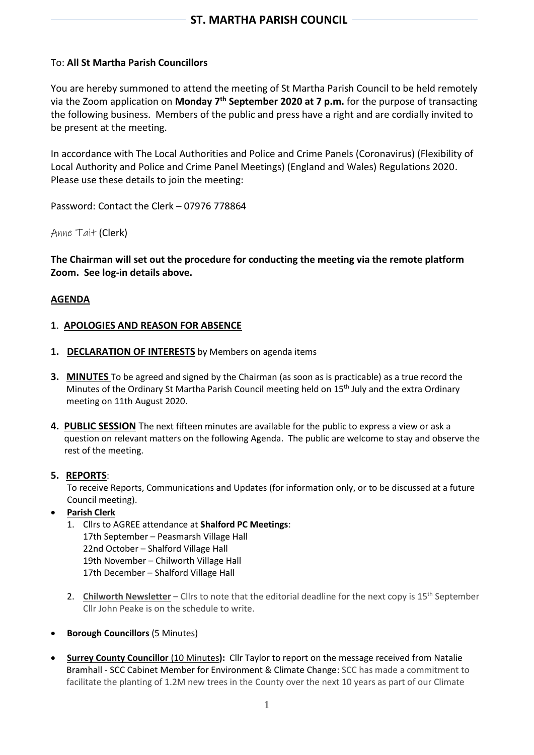## To: **All St Martha Parish Councillors**

You are hereby summoned to attend the meeting of St Martha Parish Council to be held remotely via the Zoom application on **Monday 7 th September 2020 at 7 p.m.** for the purpose of transacting the following business. Members of the public and press have a right and are cordially invited to be present at the meeting.

In accordance with The Local Authorities and Police and Crime Panels (Coronavirus) (Flexibility of Local Authority and Police and Crime Panel Meetings) (England and Wales) Regulations 2020. Please use these details to join the meeting:

Password: Contact the Clerk – 07976 778864

Anne Tait (Clerk)

**The Chairman will set out the procedure for conducting the meeting via the remote platform Zoom. See log-in details above.**

#### **AGENDA**

#### **1**. **APOLOGIES AND REASON FOR ABSENCE**

- **1. DECLARATION OF INTERESTS** by Members on agenda items
- **3. MINUTES** To be agreed and signed by the Chairman (as soon as is practicable) as a true record the Minutes of the Ordinary St Martha Parish Council meeting held on 15<sup>th</sup> July and the extra Ordinary meeting on 11th August 2020.
- **4. PUBLIC SESSION** The next fifteen minutes are available for the public to express a view or ask a question on relevant matters on the following Agenda. The public are welcome to stay and observe the rest of the meeting.

#### **5. REPORTS**:

To receive Reports, Communications and Updates (for information only, or to be discussed at a future Council meeting).

# • **Parish Clerk**

- 1. Cllrs to AGREE attendance at **Shalford PC Meetings**: 17th September – Peasmarsh Village Hall 22nd October – Shalford Village Hall 19th November – Chilworth Village Hall 17th December – Shalford Village Hall
- 2. **Chilworth Newsletter** Cllrs to note that the editorial deadline for the next copy is 15<sup>th</sup> September Cllr John Peake is on the schedule to write.
- **Borough Councillors** (5 Minutes)
- **Surrey County Councillor** (10 Minutes**):** Cllr Taylor to report on the message received from Natalie Bramhall - SCC Cabinet Member for Environment & Climate Change: SCC has made a commitment to facilitate the planting of 1.2M new trees in the County over the next 10 years as part of our Climate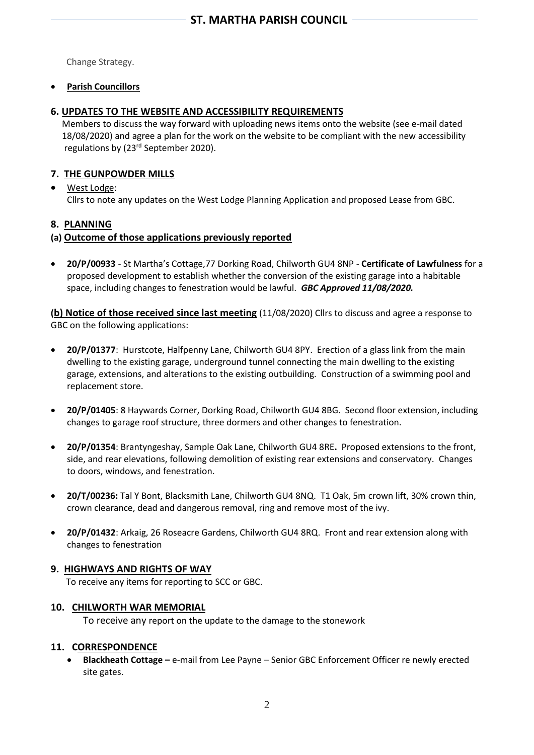Change Strategy.

## • **Parish Councillors**

# **6. UPDATES TO THE WEBSITE AND ACCESSIBILITY REQUIREMENTS**

Members to discuss the way forward with uploading news items onto the website (see e-mail dated 18/08/2020) and agree a plan for the work on the website to be compliant with the new accessibility regulations by (23rd September 2020).

# **7. THE GUNPOWDER MILLS**

## • West Lodge: Cllrs to note any updates on the West Lodge Planning Application and proposed Lease from GBC.

# **8. PLANNING**

# **(a) Outcome of those applications previously reported**

• **20/P/00933** - St Martha's Cottage,77 Dorking Road, Chilworth GU4 8NP - **Certificate of Lawfulness** for a proposed development to establish whether the conversion of the existing garage into a habitable space, including changes to fenestration would be lawful. *GBC Approved 11/08/2020.*

**(b) Notice of those received since last meeting** (11/08/2020) Cllrs to discuss and agree a response to GBC on the following applications:

- **20/P/01377**: Hurstcote, Halfpenny Lane, Chilworth GU4 8PY. Erection of a glass link from the main dwelling to the existing garage, underground tunnel connecting the main dwelling to the existing garage, extensions, and alterations to the existing outbuilding. Construction of a swimming pool and replacement store.
- **20/P/01405**: 8 Haywards Corner, Dorking Road, Chilworth GU4 8BG. Second floor extension, including changes to garage roof structure, three dormers and other changes to fenestration.
- **20/P/01354**: Brantyngeshay, Sample Oak Lane, Chilworth GU4 8RE**.** Proposed extensions to the front, side, and rear elevations, following demolition of existing rear extensions and conservatory. Changes to doors, windows, and fenestration.
- **20/T/00236:** Tal Y Bont, Blacksmith Lane, Chilworth GU4 8NQ. T1 Oak, 5m crown lift, 30% crown thin, crown clearance, dead and dangerous removal, ring and remove most of the ivy.
- **20/P/01432**: Arkaig, 26 Roseacre Gardens, Chilworth GU4 8RQ. Front and rear extension along with changes to fenestration

# **9. HIGHWAYS AND RIGHTS OF WAY**

To receive any items for reporting to SCC or GBC.

## **10. CHILWORTH WAR MEMORIAL**

To receive any report on the update to the damage to the stonework

## **11. CORRESPONDENCE**

• **Blackheath Cottage –** e-mail from Lee Payne – Senior GBC Enforcement Officer re newly erected site gates.